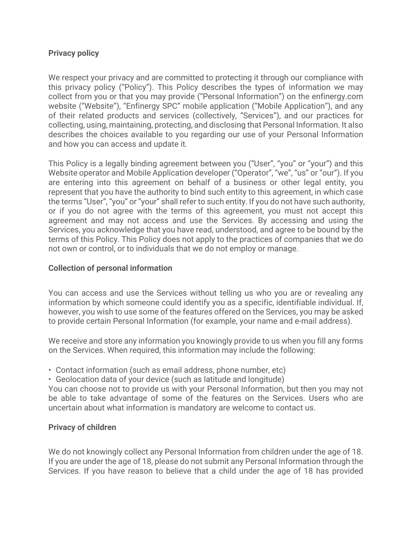## **Privacy policy**

We respect your privacy and are committed to protecting it through our compliance with this privacy policy ("Policy"). This Policy describes the types of information we may collect from you or that you may provide ("Personal Information") on the enfinergy.com website ("Website"), "Enfinergy SPC" mobile application ("Mobile Application"), and any of their related products and services (collectively, "Services"), and our practices for collecting, using, maintaining, protecting, and disclosing that Personal Information. It also describes the choices available to you regarding our use of your Personal Information and how you can access and update it.

This Policy is a legally binding agreement between you ("User", "you" or "your") and this Website operator and Mobile Application developer ("Operator", "we", "us" or "our"). If you are entering into this agreement on behalf of a business or other legal entity, you represent that you have the authority to bind such entity to this agreement, in which case the terms "User", "you" or "your" shall refer to such entity. If you do not have such authority, or if you do not agree with the terms of this agreement, you must not accept this agreement and may not access and use the Services. By accessing and using the Services, you acknowledge that you have read, understood, and agree to be bound by the terms of this Policy. This Policy does not apply to the practices of companies that we do not own or control, or to individuals that we do not employ or manage.

### **Collection of personal information**

You can access and use the Services without telling us who you are or revealing any information by which someone could identify you as a specific, identifiable individual. If, however, you wish to use some of the features offered on the Services, you may be asked to provide certain Personal Information (for example, your name and e-mail address).

We receive and store any information you knowingly provide to us when you fill any forms on the Services. When required, this information may include the following:

- Contact information (such as email address, phone number, etc)
- Geolocation data of your device (such as latitude and longitude)

You can choose not to provide us with your Personal Information, but then you may not be able to take advantage of some of the features on the Services. Users who are uncertain about what information is mandatory are welcome to contact us.

# **Privacy of children**

We do not knowingly collect any Personal Information from children under the age of 18. If you are under the age of 18, please do not submit any Personal Information through the Services. If you have reason to believe that a child under the age of 18 has provided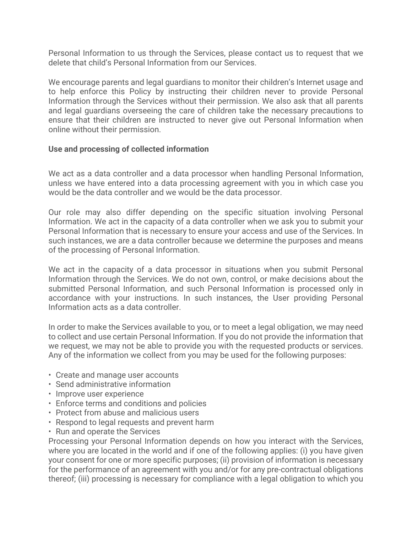Personal Information to us through the Services, please contact us to request that we delete that child's Personal Information from our Services.

We encourage parents and legal guardians to monitor their children's Internet usage and to help enforce this Policy by instructing their children never to provide Personal Information through the Services without their permission. We also ask that all parents and legal guardians overseeing the care of children take the necessary precautions to ensure that their children are instructed to never give out Personal Information when online without their permission.

## **Use and processing of collected information**

We act as a data controller and a data processor when handling Personal Information, unless we have entered into a data processing agreement with you in which case you would be the data controller and we would be the data processor.

Our role may also differ depending on the specific situation involving Personal Information. We act in the capacity of a data controller when we ask you to submit your Personal Information that is necessary to ensure your access and use of the Services. In such instances, we are a data controller because we determine the purposes and means of the processing of Personal Information.

We act in the capacity of a data processor in situations when you submit Personal Information through the Services. We do not own, control, or make decisions about the submitted Personal Information, and such Personal Information is processed only in accordance with your instructions. In such instances, the User providing Personal Information acts as a data controller.

In order to make the Services available to you, or to meet a legal obligation, we may need to collect and use certain Personal Information. If you do not provide the information that we request, we may not be able to provide you with the requested products or services. Any of the information we collect from you may be used for the following purposes:

- Create and manage user accounts
- Send administrative information
- Improve user experience
- Enforce terms and conditions and policies
- Protect from abuse and malicious users
- Respond to legal requests and prevent harm
- Run and operate the Services

Processing your Personal Information depends on how you interact with the Services, where you are located in the world and if one of the following applies: (i) you have given your consent for one or more specific purposes; (ii) provision of information is necessary for the performance of an agreement with you and/or for any pre-contractual obligations thereof; (iii) processing is necessary for compliance with a legal obligation to which you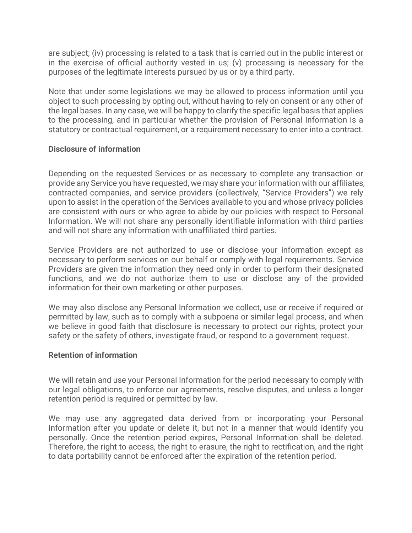are subject; (iv) processing is related to a task that is carried out in the public interest or in the exercise of official authority vested in us; (v) processing is necessary for the purposes of the legitimate interests pursued by us or by a third party.

Note that under some legislations we may be allowed to process information until you object to such processing by opting out, without having to rely on consent or any other of the legal bases. In any case, we will be happy to clarify the specific legal basis that applies to the processing, and in particular whether the provision of Personal Information is a statutory or contractual requirement, or a requirement necessary to enter into a contract.

## **Disclosure of information**

Depending on the requested Services or as necessary to complete any transaction or provide any Service you have requested, we may share your information with our affiliates, contracted companies, and service providers (collectively, "Service Providers") we rely upon to assist in the operation of the Services available to you and whose privacy policies are consistent with ours or who agree to abide by our policies with respect to Personal Information. We will not share any personally identifiable information with third parties and will not share any information with unaffiliated third parties.

Service Providers are not authorized to use or disclose your information except as necessary to perform services on our behalf or comply with legal requirements. Service Providers are given the information they need only in order to perform their designated functions, and we do not authorize them to use or disclose any of the provided information for their own marketing or other purposes.

We may also disclose any Personal Information we collect, use or receive if required or permitted by law, such as to comply with a subpoena or similar legal process, and when we believe in good faith that disclosure is necessary to protect our rights, protect your safety or the safety of others, investigate fraud, or respond to a government request.

### **Retention of information**

We will retain and use your Personal Information for the period necessary to comply with our legal obligations, to enforce our agreements, resolve disputes, and unless a longer retention period is required or permitted by law.

We may use any aggregated data derived from or incorporating your Personal Information after you update or delete it, but not in a manner that would identify you personally. Once the retention period expires, Personal Information shall be deleted. Therefore, the right to access, the right to erasure, the right to rectification, and the right to data portability cannot be enforced after the expiration of the retention period.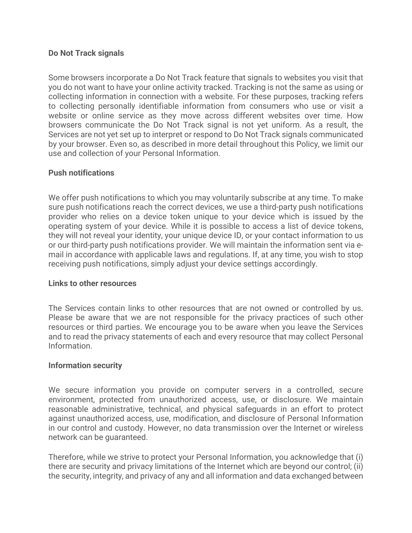### **Do Not Track signals**

Some browsers incorporate a Do Not Track feature that signals to websites you visit that you do not want to have your online activity tracked. Tracking is not the same as using or collecting information in connection with a website. For these purposes, tracking refers to collecting personally identifiable information from consumers who use or visit a website or online service as they move across different websites over time. How browsers communicate the Do Not Track signal is not yet uniform. As a result, the Services are not yet set up to interpret or respond to Do Not Track signals communicated by your browser. Even so, as described in more detail throughout this Policy, we limit our use and collection of your Personal Information.

## **Push notifications**

We offer push notifications to which you may voluntarily subscribe at any time. To make sure push notifications reach the correct devices, we use a third-party push notifications provider who relies on a device token unique to your device which is issued by the operating system of your device. While it is possible to access a list of device tokens, they will not reveal your identity, your unique device ID, or your contact information to us or our third-party push notifications provider. We will maintain the information sent via email in accordance with applicable laws and regulations. If, at any time, you wish to stop receiving push notifications, simply adjust your device settings accordingly.

### **Links to other resources**

The Services contain links to other resources that are not owned or controlled by us. Please be aware that we are not responsible for the privacy practices of such other resources or third parties. We encourage you to be aware when you leave the Services and to read the privacy statements of each and every resource that may collect Personal Information.

### **Information security**

We secure information you provide on computer servers in a controlled, secure environment, protected from unauthorized access, use, or disclosure. We maintain reasonable administrative, technical, and physical safeguards in an effort to protect against unauthorized access, use, modification, and disclosure of Personal Information in our control and custody. However, no data transmission over the Internet or wireless network can be guaranteed.

Therefore, while we strive to protect your Personal Information, you acknowledge that (i) there are security and privacy limitations of the Internet which are beyond our control; (ii) the security, integrity, and privacy of any and all information and data exchanged between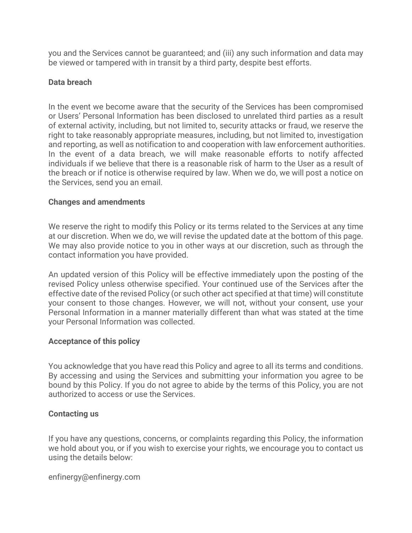you and the Services cannot be guaranteed; and (iii) any such information and data may be viewed or tampered with in transit by a third party, despite best efforts.

# **Data breach**

In the event we become aware that the security of the Services has been compromised or Users' Personal Information has been disclosed to unrelated third parties as a result of external activity, including, but not limited to, security attacks or fraud, we reserve the right to take reasonably appropriate measures, including, but not limited to, investigation and reporting, as well as notification to and cooperation with law enforcement authorities. In the event of a data breach, we will make reasonable efforts to notify affected individuals if we believe that there is a reasonable risk of harm to the User as a result of the breach or if notice is otherwise required by law. When we do, we will post a notice on the Services, send you an email.

### **Changes and amendments**

We reserve the right to modify this Policy or its terms related to the Services at any time at our discretion. When we do, we will revise the updated date at the bottom of this page. We may also provide notice to you in other ways at our discretion, such as through the contact information you have provided.

An updated version of this Policy will be effective immediately upon the posting of the revised Policy unless otherwise specified. Your continued use of the Services after the effective date of the revised Policy (or such other act specified at that time) will constitute your consent to those changes. However, we will not, without your consent, use your Personal Information in a manner materially different than what was stated at the time your Personal Information was collected.

### **Acceptance of this policy**

You acknowledge that you have read this Policy and agree to all its terms and conditions. By accessing and using the Services and submitting your information you agree to be bound by this Policy. If you do not agree to abide by the terms of this Policy, you are not authorized to access or use the Services.

### **Contacting us**

If you have any questions, concerns, or complaints regarding this Policy, the information we hold about you, or if you wish to exercise your rights, we encourage you to contact us using the details below:

enfinergy@enfinergy.com